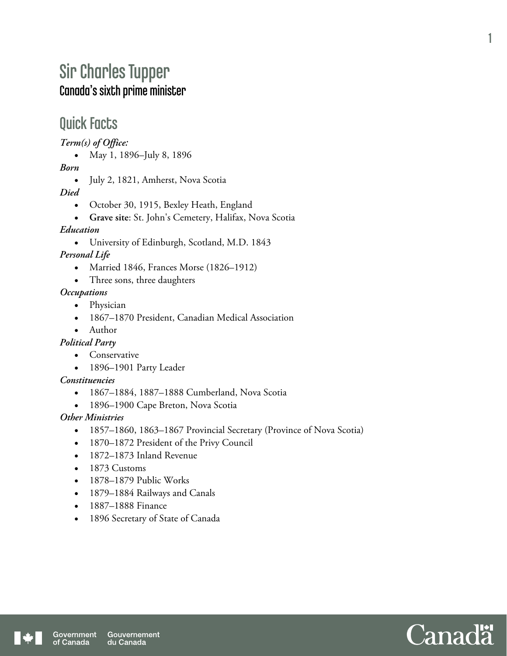# Sir Charles Tupper Canada's sixth prime minister

## Quick Facts

*Term(s) of Office:* 

• May 1, 1896–July 8, 1896

*Born* 

• July 2, 1821, Amherst, Nova Scotia

*Died* 

- October 30, 1915, Bexley Heath, England
- **Grave site**: St. John's Cemetery, Halifax, Nova Scotia

### *Education*

University of Edinburgh, Scotland, M.D. 1843

*Personal Life* 

- Married 1846, Frances Morse (1826–1912)
- Three sons, three daughters

### *Occupations*

- Physician
- 1867–1870 President, Canadian Medical Association
- Author

### *Political Party*

- Conservative
- 1896–1901 Party Leader

### *Constituencies*

- 1867–1884, 1887–1888 Cumberland, Nova Scotia
- 1896–1900 Cape Breton, Nova Scotia

## *Other Ministries*

- 1857–1860, 1863–1867 Provincial Secretary (Province of Nova Scotia)
- 1870–1872 President of the Privy Council
- 1872–1873 Inland Revenue
- 1873 Customs
- 1878–1879 Public Works
- 1879–1884 Railways and Canals
- 1887–1888 Finance
- 1896 Secretary of State of Canada



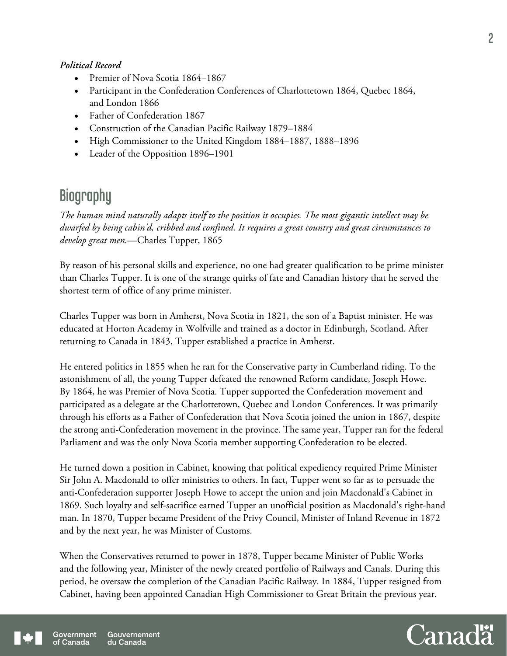#### *Political Record*

- Premier of Nova Scotia 1864–1867
- Participant in the Confederation Conferences of Charlottetown 1864, Quebec 1864, and London 1866
- Father of Confederation 1867
- Construction of the Canadian Pacific Railway 1879–1884
- High Commissioner to the United Kingdom 1884–1887, 1888–1896
- Leader of the Opposition 1896–1901

# **Biography**

*The human mind naturally adapts itself to the position it occupies. The most gigantic intellect may be dwarfed by being cabin'd, cribbed and confined. It requires a great country and great circumstances to develop great men.*—Charles Tupper, 1865

By reason of his personal skills and experience, no one had greater qualification to be prime minister than Charles Tupper. It is one of the strange quirks of fate and Canadian history that he served the shortest term of office of any prime minister.

Charles Tupper was born in Amherst, Nova Scotia in 1821, the son of a Baptist minister. He was educated at Horton Academy in Wolfville and trained as a doctor in Edinburgh, Scotland. After returning to Canada in 1843, Tupper established a practice in Amherst.

He entered politics in 1855 when he ran for the Conservative party in Cumberland riding. To the astonishment of all, the young Tupper defeated the renowned Reform candidate, Joseph Howe. By 1864, he was Premier of Nova Scotia. Tupper supported the Confederation movement and participated as a delegate at the Charlottetown, Quebec and London Conferences. It was primarily through his efforts as a Father of Confederation that Nova Scotia joined the union in 1867, despite the strong anti-Confederation movement in the province. The same year, Tupper ran for the federal Parliament and was the only Nova Scotia member supporting Confederation to be elected.

He turned down a position in Cabinet, knowing that political expediency required Prime Minister Sir John A. Macdonald to offer ministries to others. In fact, Tupper went so far as to persuade the anti-Confederation supporter Joseph Howe to accept the union and join Macdonald's Cabinet in 1869. Such loyalty and self-sacrifice earned Tupper an unofficial position as Macdonald's right-hand man. In 1870, Tupper became President of the Privy Council, Minister of Inland Revenue in 1872 and by the next year, he was Minister of Customs.

When the Conservatives returned to power in 1878, Tupper became Minister of Public Works and the following year, Minister of the newly created portfolio of Railways and Canals. During this period, he oversaw the completion of the Canadian Pacific Railway. In 1884, Tupper resigned from Cabinet, having been appointed Canadian High Commissioner to Great Britain the previous year.



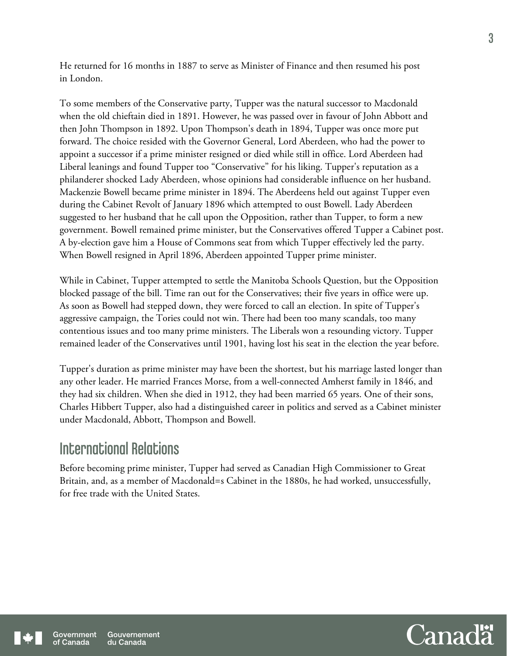He returned for 16 months in 1887 to serve as Minister of Finance and then resumed his post in London.

To some members of the Conservative party, Tupper was the natural successor to Macdonald when the old chieftain died in 1891. However, he was passed over in favour of John Abbott and then John Thompson in 1892. Upon Thompson's death in 1894, Tupper was once more put forward. The choice resided with the Governor General, Lord Aberdeen, who had the power to appoint a successor if a prime minister resigned or died while still in office. Lord Aberdeen had Liberal leanings and found Tupper too "Conservative" for his liking. Tupper's reputation as a philanderer shocked Lady Aberdeen, whose opinions had considerable influence on her husband. Mackenzie Bowell became prime minister in 1894. The Aberdeens held out against Tupper even during the Cabinet Revolt of January 1896 which attempted to oust Bowell. Lady Aberdeen suggested to her husband that he call upon the Opposition, rather than Tupper, to form a new government. Bowell remained prime minister, but the Conservatives offered Tupper a Cabinet post. A by-election gave him a House of Commons seat from which Tupper effectively led the party. When Bowell resigned in April 1896, Aberdeen appointed Tupper prime minister.

While in Cabinet, Tupper attempted to settle the Manitoba Schools Question, but the Opposition blocked passage of the bill. Time ran out for the Conservatives; their five years in office were up. As soon as Bowell had stepped down, they were forced to call an election. In spite of Tupper's aggressive campaign, the Tories could not win. There had been too many scandals, too many contentious issues and too many prime ministers. The Liberals won a resounding victory. Tupper remained leader of the Conservatives until 1901, having lost his seat in the election the year before.

Tupper's duration as prime minister may have been the shortest, but his marriage lasted longer than any other leader. He married Frances Morse, from a well-connected Amherst family in 1846, and they had six children. When she died in 1912, they had been married 65 years. One of their sons, Charles Hibbert Tupper, also had a distinguished career in politics and served as a Cabinet minister under Macdonald, Abbott, Thompson and Bowell.

## International Relations

Before becoming prime minister, Tupper had served as Canadian High Commissioner to Great Britain, and, as a member of Macdonald=s Cabinet in the 1880s, he had worked, unsuccessfully, for free trade with the United States.



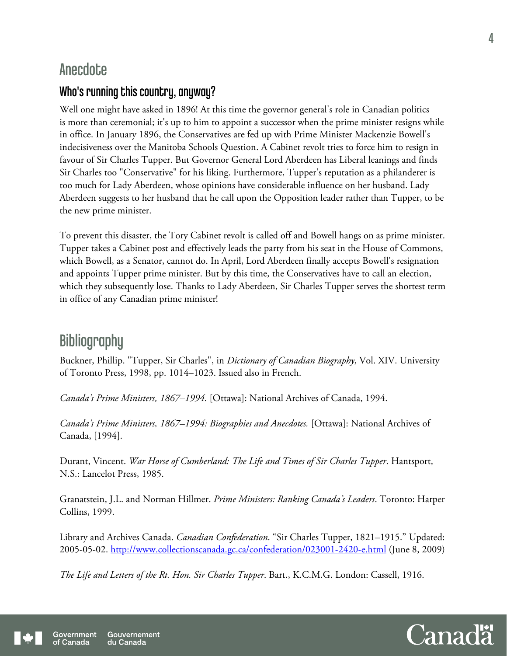## Anecdote

## Who's running this country, anyway?

Well one might have asked in 1896! At this time the governor general's role in Canadian politics is more than ceremonial; it's up to him to appoint a successor when the prime minister resigns while in office. In January 1896, the Conservatives are fed up with Prime Minister Mackenzie Bowell's indecisiveness over the Manitoba Schools Question. A Cabinet revolt tries to force him to resign in favour of Sir Charles Tupper. But Governor General Lord Aberdeen has Liberal leanings and finds Sir Charles too "Conservative" for his liking. Furthermore, Tupper's reputation as a philanderer is too much for Lady Aberdeen, whose opinions have considerable influence on her husband. Lady Aberdeen suggests to her husband that he call upon the Opposition leader rather than Tupper, to be the new prime minister.

To prevent this disaster, the Tory Cabinet revolt is called off and Bowell hangs on as prime minister. Tupper takes a Cabinet post and effectively leads the party from his seat in the House of Commons, which Bowell, as a Senator, cannot do. In April, Lord Aberdeen finally accepts Bowell's resignation and appoints Tupper prime minister. But by this time, the Conservatives have to call an election, which they subsequently lose. Thanks to Lady Aberdeen, Sir Charles Tupper serves the shortest term in office of any Canadian prime minister!

# **Bibliography**

Buckner, Phillip. "Tupper, Sir Charles", in *Dictionary of Canadian Biography*, Vol. XIV. University of Toronto Press, 1998, pp. 1014–1023. Issued also in French.

*Canada's Prime Ministers, 1867–1994.* [Ottawa]: National Archives of Canada, 1994.

*Canada's Prime Ministers, 1867–1994: Biographies and Anecdotes.* [Ottawa]: National Archives of Canada, [1994].

Durant, Vincent. *War Horse of Cumberland: The Life and Times of Sir Charles Tupper*. Hantsport, N.S.: Lancelot Press, 1985.

Granatstein, J.L. and Norman Hillmer. *Prime Ministers: Ranking Canada's Leaders*. Toronto: Harper Collins, 1999.

Library and Archives Canada. *Canadian Confederation*. "Sir Charles Tupper, 1821–1915." Updated: 2005-05-02. http://www.collectionscanada.gc.ca/confederation/023001-2420-e.html (June 8, 2009)

*The Life and Letters of the Rt. Hon. Sir Charles Tupper*. Bart., K.C.M.G. London: Cassell, 1916.